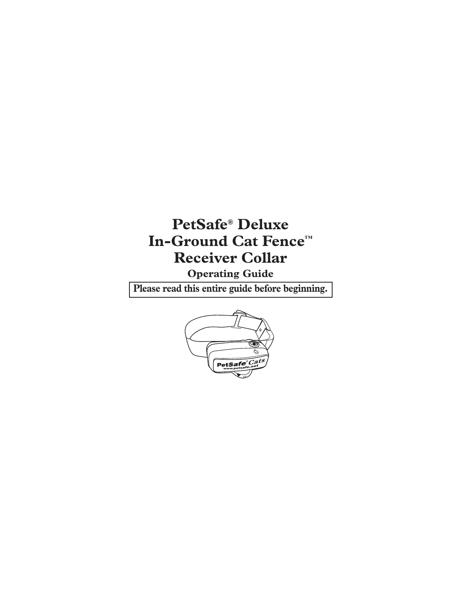# **PetSafe® Deluxe In-Ground Cat Fence™ Receiver Collar**

**Operating Guide**

**Please read this entire guide before beginning.**

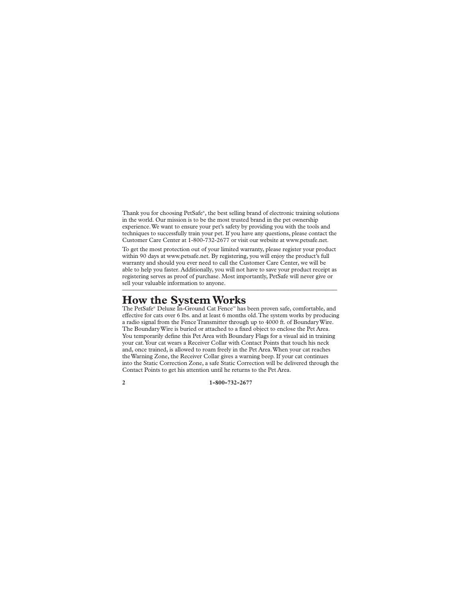Thank you for choosing PetSafe®, the best selling brand of electronic training solutions in the world. Our mission is to be the most trusted brand in the pet ownership experience. We want to ensure your pet's safety by providing you with the tools and techniques to successfully train your pet. If you have any questions, please contact the Customer Care Center at 1-800-732-2677 or visit our website at www.petsafe.net.

To get the most protection out of your limited warranty, please register your product within 90 days at www.petsafe.net. By registering, you will enjoy the product's full warranty and should you ever need to call the Customer Care Center, we will be able to help you faster. Additionally, you will not have to save your product receipt as registering serves as proof of purchase. Most importantly, PetSafe will never give or sell your valuable information to anyone.

### **How the System Works**

The PetSafe® Deluxe In-Ground Cat Fence™ has been proven safe, comfortable, and effective for cats over 6 lbs. and at least 6 months old. The system works by producing a radio signal from the Fence Transmitter through up to 4000 ft. of Boundary Wire. The Boundary Wire is buried or attached to a fixed object to enclose the Pet Area. You temporarily define this Pet Area with Boundary Flags for a visual aid in training your cat. Your cat wears a Receiver Collar with Contact Points that touch his neck and, once trained, is allowed to roam freely in the Pet Area. When your cat reaches the Warning Zone, the Receiver Collar gives a warning beep. If your cat continues into the Static Correction Zone, a safe Static Correction will be delivered through the Contact Points to get his attention until he returns to the Pet Area.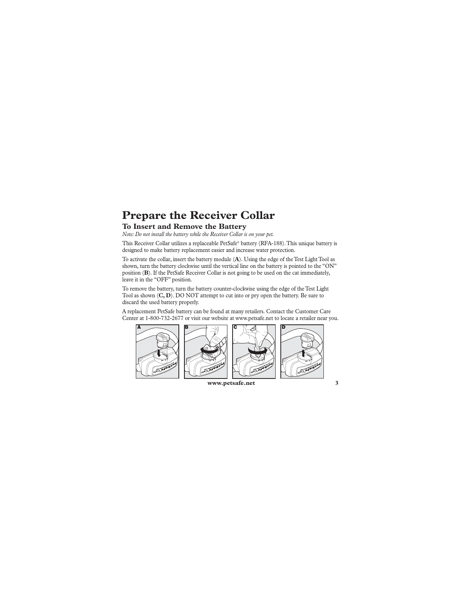### **Prepare the Receiver Collar**

#### **To Insert and Remove the Battery**

*Note: Do not install the battery while the Receiver Collar is on your pet.*

This Receiver Collar utilizes a replaceable PetSafe® battery (RFA-188). This unique battery is designed to make battery replacement easier and increase water protection.

To activate the collar, insert the battery module (**A**). Using the edge of the Test Light Tool as shown, turn the battery clockwise until the vertical line on the battery is pointed to the "ON" position (**B**). If the PetSafe Receiver Collar is not going to be used on the cat immediately, leave it in the "OFF" position.

To remove the battery, turn the battery counter-clockwise using the edge of the Test Light Tool as shown (**C, D**). DO NOT attempt to cut into or pry open the battery. Be sure to discard the used battery properly.

A replacement PetSafe battery can be found at many retailers. Contact the Customer Care Center at 1-800-732-2677 or visit our website at www.petsafe.net to locate a retailer near you.



 **www.petsafe.net 3**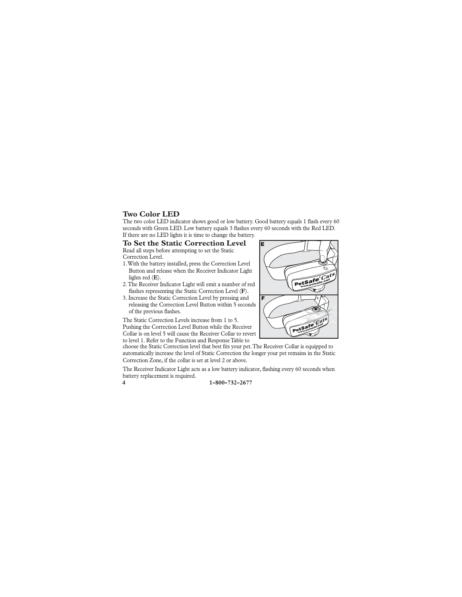#### **Two Color LED**

The two color LED indicator shows good or low battery. Good battery equals 1 flash every 60 seconds with Green LED. Low battery equals 3 flashes every 60 seconds with the Red LED. If there are no LED lights it is time to change the battery.

#### **To Set the Static Correction Level**

Read all steps before attempting to set the Static Correction Level.

- 1. With the battery installed, press the Correction Level Button and release when the Receiver Indicator Light lights red (**E**).
- 2. The Receiver Indicator Light will emit a number of red flashes representing the Static Correction Level (F).
- 3. Increase the Static Correction Level by pressing and releasing the Correction Level Button within 5 seconds of the previous flashes.

The Static Correction Levels increase from 1 to 5. Pushing the Correction Level Button while the Receiver Collar is on level 5 will cause the Receiver Collar to revert

to level 1. Refer to the Function and Response Table to choose the Static Correction level that best fits your pet. The Receiver Collar is equipped to automatically increase the level of Static Correction the longer your pet remains in the Static

Correction Zone, if the collar is set at level 2 or above.

The Receiver Indicator Light acts as a low battery indicator, flashing every 60 seconds when battery replacement is required.

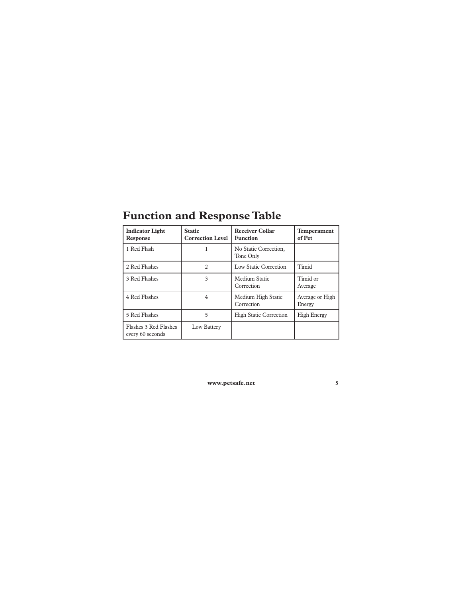| <b>Indicator Light</b><br><b>Response</b> | <b>Static</b><br><b>Correction Level</b> | <b>Receiver Collar</b><br><b>Function</b> | Temperament<br>of Pet     |
|-------------------------------------------|------------------------------------------|-------------------------------------------|---------------------------|
| 1 Red Flash                               |                                          | No Static Correction,<br>Tone Only        |                           |
| 2 Red Flashes                             | 2                                        | Low Static Correction                     | Timid                     |
| 3 Red Flashes                             | 3                                        | Medium Static<br>Correction               | Timid or<br>Average       |
| 4 Red Flashes                             | 4                                        | Medium High Static<br>Correction          | Average or High<br>Energy |
| 5 Red Flashes                             | 5                                        | <b>High Static Correction</b>             | <b>High Energy</b>        |
| Flashes 3 Red Flashes<br>every 60 seconds | Low Battery                              |                                           |                           |

# **Function and Response Table**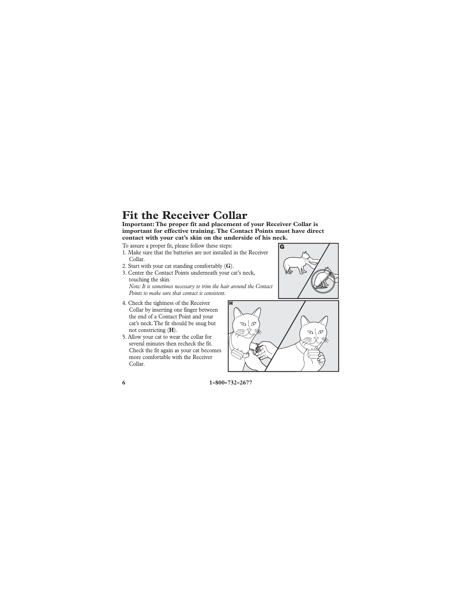### **Fit the Receiver Collar**

**Important: The proper fit and placement of your Receiver Collar is important for effective training. The Contact Points must have direct contact with your cat's skin on the underside of his neck.** 

- To assure a proper fit, please follow these steps:
- 1. Make sure that the batteries are not installed in the Receiver Collar.
- 2. Start with your cat standing comfortably (**G**).
- 3. Center the Contact Points underneath your cat's neck, touching the skin. *Note: It is sometimes necessary to trim the hair around the Contact Points to make sure that contact is consistent.*
- 4. Check the tightness of the Receiver Collar by inserting one finger between the end of a Contact Point and your cat's neck. The fit should be snug but not constricting (**H**).
- 5. Allow your cat to wear the collar for several minutes then recheck the fit. Check the fit again as your cat becomes more comfortable with the Receiver Collar.

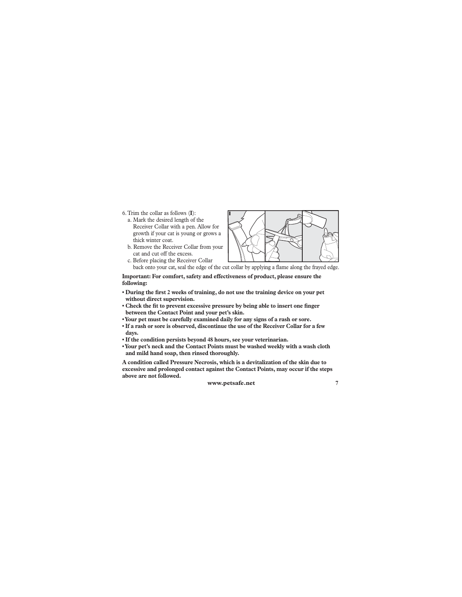6. Trim the collar as follows (**I**):

- a. Mark the desired length of the Receiver Collar with a pen. Allow for growth if your cat is young or grows a thick winter coat.
- b. Remove the Receiver Collar from your cat and cut off the excess.



c. Before placing the Receiver Collar back onto your cat, seal the edge of the cut collar by applying a flame along the frayed edge.

**Important: For comfort, safety and effectiveness of product, please ensure the following:**

- During the first 2 weeks of training, do not use the training device on your pet **without direct supervision.**
- Check the fit to prevent excessive pressure by being able to insert one finger **between the Contact Point and your pet's skin.**
- **Your pet must be carefully examined daily for any signs of a rash or sore.**
- **If a rash or sore is observed, discontinue the use of the Receiver Collar for a few days.**
- **If the condition persists beyond 48 hours, see your veterinarian.**
- **Your pet's neck and the Contact Points must be washed weekly with a wash cloth and mild hand soap, then rinsed thoroughly.**

**A condition called Pressure Necrosis, which is a devitalization of the skin due to excessive and prolonged contact against the Contact Points, may occur if the steps above are not followed.**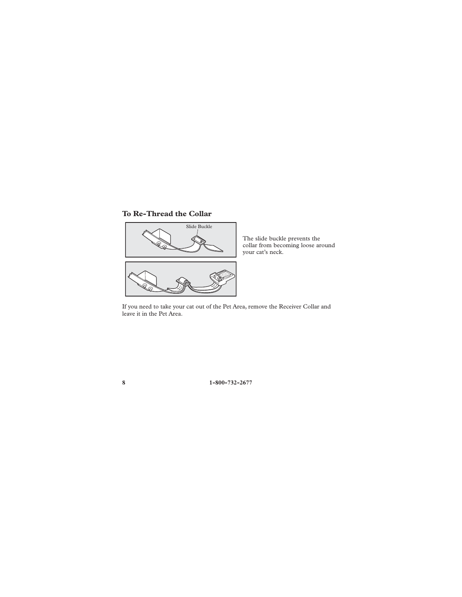### **To Re-Thread the Collar**



The slide buckle prevents the collar from becoming loose around your cat's neck.

If you need to take your cat out of the Pet Area, remove the Receiver Collar and leave it in the Pet Area.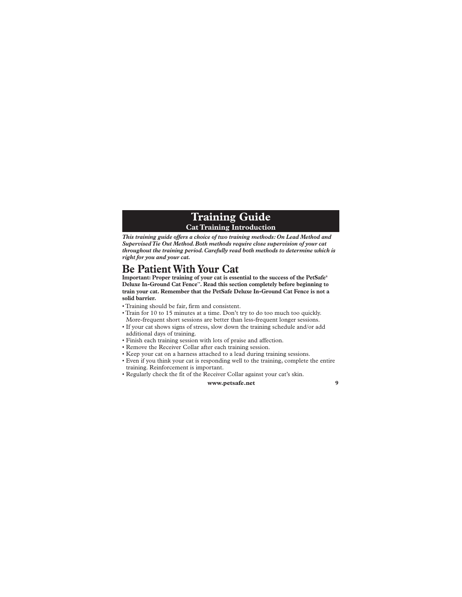### **Training Guide Cat Training Introduction**

*This training guide offers a choice of two training methods: On Lead Method and Supervised Tie Out Method. Both methods require close supervision of your cat throughout the training period. Carefully read both methods to determine which is right for you and your cat.*

### **Be Patient With Your Cat**

**Important: Proper training of your cat is essential to the success of the PetSafe® Deluxe In-Ground Cat Fence™. Read this section completely before beginning to train your cat. Remember that the PetSafe Deluxe In-Ground Cat Fence is not a solid barrier.**

- Training should be fair, firm and consistent.
- Train for 10 to 15 minutes at a time. Don't try to do too much too quickly. More-frequent short sessions are better than less-frequent longer sessions.
- If your cat shows signs of stress, slow down the training schedule and/or add additional days of training.
- Finish each training session with lots of praise and affection.
- Remove the Receiver Collar after each training session.
- Keep your cat on a harness attached to a lead during training sessions.
- Even if you think your cat is responding well to the training, complete the entire training. Reinforcement is important.
- Regularly check the fit of the Receiver Collar against your cat's skin.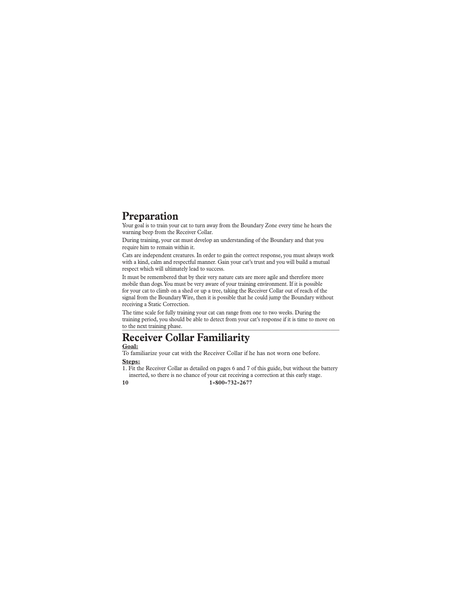### **Preparation**

Your goal is to train your cat to turn away from the Boundary Zone every time he hears the warning beep from the Receiver Collar.

During training, your cat must develop an understanding of the Boundary and that you require him to remain within it.

Cats are independent creatures. In order to gain the correct response, you must always work with a kind, calm and respectful manner. Gain your cat's trust and you will build a mutual respect which will ultimately lead to success.

It must be remembered that by their very nature cats are more agile and therefore more mobile than dogs. You must be very aware of your training environment. If it is possible for your cat to climb on a shed or up a tree, taking the Receiver Collar out of reach of the signal from the Boundary Wire, then it is possible that he could jump the Boundary without receiving a Static Correction.

The time scale for fully training your cat can range from one to two weeks. During the training period, you should be able to detect from your cat's response if it is time to move on to the next training phase.

## **Receiver Collar Familiarity**

**Goal:** To familiarize your cat with the Receiver Collar if he has not worn one before.

**Steps:**

**10 1-800-732-2677** 1. Fit the Receiver Collar as detailed on pages 6 and 7 of this guide, but without the battery inserted, so there is no chance of your cat receiving a correction at this early stage.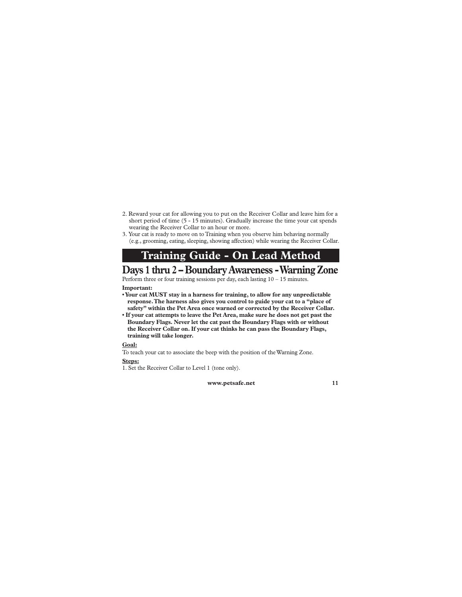- 2. Reward your cat for allowing you to put on the Receiver Collar and leave him for a short period of time (5 - 15 minutes). Gradually increase the time your cat spends wearing the Receiver Collar to an hour or more.
- 3. Your cat is ready to move on to Training when you observe him behaving normally (e.g., grooming, eating, sleeping, showing affection) while wearing the Receiver Collar.

### **Training Guide - On Lead Method**

### **Days 1 thru 2 – Boundary Awareness - Warning Zone**

Perform three or four training sessions per day, each lasting  $10 - 15$  minutes. **Important:** 

- **Your cat MUST stay in a harness for training, to allow for any unpredictable response. The harness also gives you control to guide your cat to a "place of safety" within the Pet Area once warned or corrected by the Receiver Collar.**
- **If your cat attempts to leave the Pet Area, make sure he does not get past the Boundary Flags. Never let the cat past the Boundary Flags with or without the Receiver Collar on. If your cat thinks he can pass the Boundary Flags, training will take longer.**

#### **Goal:**

To teach your cat to associate the beep with the position of the Warning Zone. **Steps:**

1. Set the Receiver Collar to Level 1 (tone only).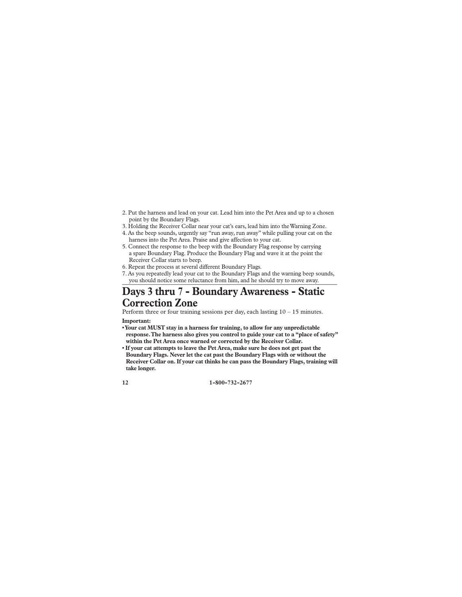- 2. Put the harness and lead on your cat. Lead him into the Pet Area and up to a chosen point by the Boundary Flags.
- 3. Holding the Receiver Collar near your cat's ears, lead him into the Warning Zone.
- 4. As the beep sounds, urgently say "run away, run away" while pulling your cat on the harness into the Pet Area. Praise and give affection to your cat.
- 5. Connect the response to the beep with the Boundary Flag response by carrying a spare Boundary Flag. Produce the Boundary Flag and wave it at the point the Receiver Collar starts to beep.
- 6. Repeat the process at several different Boundary Flags.
- 7. As you repeatedly lead your cat to the Boundary Flags and the warning beep sounds, you should notice some reluctance from him, and he should try to move away.

### **Days 3 thru 7 - Boundary Awareness - Static Correction Zone**

Perform three or four training sessions per day, each lasting 10 – 15 minutes. **Important:** 

- **Your cat MUST stay in a harness for training, to allow for any unpredictable response. The harness also gives you control to guide your cat to a "place of safety" within the Pet Area once warned or corrected by the Receiver Collar.**
- **If your cat attempts to leave the Pet Area, make sure he does not get past the Boundary Flags. Never let the cat past the Boundary Flags with or without the Receiver Collar on. If your cat thinks he can pass the Boundary Flags, training will take longer.**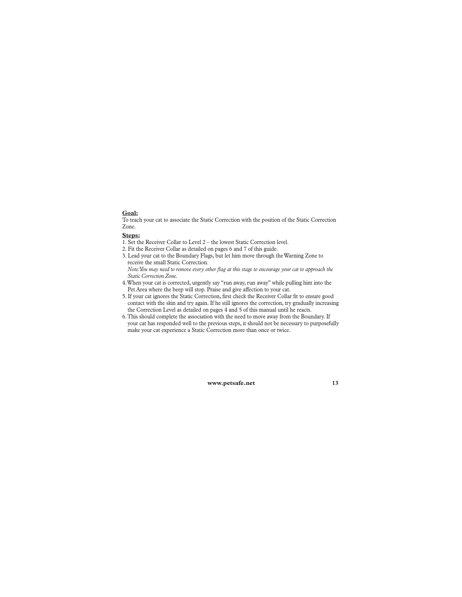#### **Goal:**

To teach your cat to associate the Static Correction with the position of the Static Correction Zone.

#### **Steps:**

1. Set the Receiver Collar to Level 2 – the lowest Static Correction level.

2. Fit the Receiver Collar as detailed on pages 6 and 7 of this guide.

- 3. Lead your cat to the Boundary Flags, but let him move through the Warning Zone to receive the small Static Correction.
	- *Note: You may need to remove every other fl ag at this stage to encourage your cat to approach the Static Correction Zone.*
- 4. When your cat is corrected, urgently say "run away, run away" while pulling him into the Pet Area where the beep will stop. Praise and give affection to your cat.
- 5. If your cat ignores the Static Correction, first check the Receiver Collar fit to ensure good contact with the skin and try again. If he still ignores the correction, try gradually increasing the Correction Level as detailed on pages 4 and 5 of this manual until he reacts.
- 6. This should complete the association with the need to move away from the Boundary. If your cat has responded well to the previous steps, it should not be necessary to purposefully make your cat experience a Static Correction more than once or twice.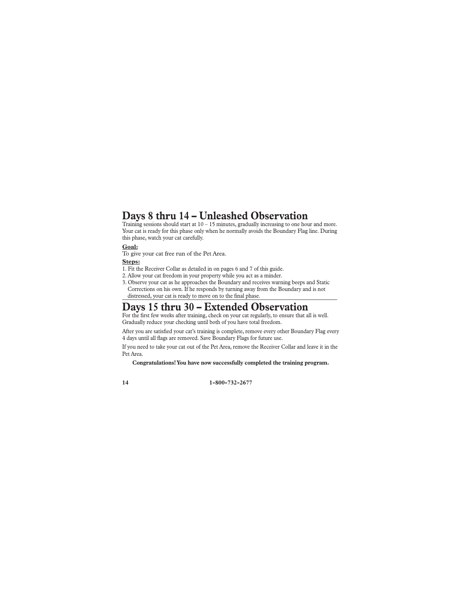### **Days 8 thru 14 – Unleashed Observation**

Training sessions should start at  $10 - 15$  minutes, gradually increasing to one hour and more. Your cat is ready for this phase only when he normally avoids the Boundary Flag line. During this phase, watch your cat carefully.

#### **Goal:**

To give your cat free run of the Pet Area.

#### **Steps:**

1. Fit the Receiver Collar as detailed in on pages 6 and 7 of this guide.

2. Allow your cat freedom in your property while you act as a minder.

3. Observe your cat as he approaches the Boundary and receives warning beeps and Static Corrections on his own. If he responds by turning away from the Boundary and is not distressed, your cat is ready to move on to the final phase.

### **Days 15 thru 30 – Extended Observation**

For the first few weeks after training, check on your cat regularly, to ensure that all is well. Gradually reduce your checking until both of you have total freedom.

After you are satisfied your cat's training is complete, remove every other Boundary Flag every 4 days until all flags are removed. Save Boundary Flags for future use.

If you need to take your cat out of the Pet Area, remove the Receiver Collar and leave it in the Pet Area.

**Congratulations! You have now successfully completed the training program.**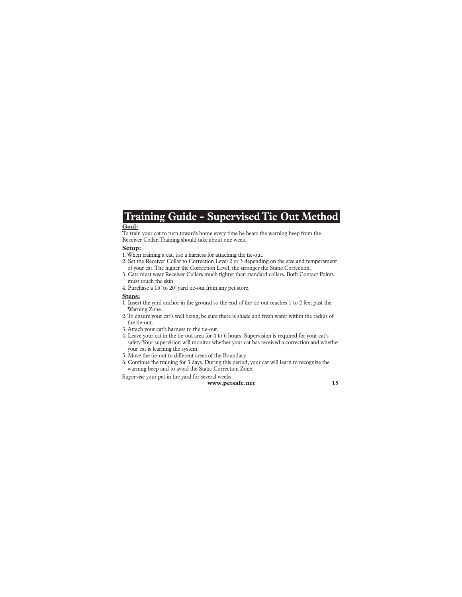### **Training Guide - Supervised Tie Out Method**

#### **Goal:**

To train your cat to turn towards home every time he hears the warning beep from the Receiver Collar. Training should take about one week.

#### **Setup:**

- 1. When training a cat, use a harness for attaching the tie-out.
- 2. Set the Receiver Collar to Correction Level 2 or 3 depending on the size and temperament of your cat. The higher the Correction Level, the stronger the Static Correction.
- 3. Cats must wear Receiver Collars much tighter than standard collars. Both Contact Points must touch the skin.
- 4. Purchase a 15' to 20' yard tie-out from any pet store.

#### **Steps:**

- 1. Insert the yard anchor in the ground so the end of the tie-out reaches 1 to 2 feet past the Warning Zone.
- 2. To ensure your cat's well being, be sure there is shade and fresh water within the radius of the tie-out.
- 3. Attach your cat's harness to the tie-out.
- 4. Leave your cat in the tie-out area for 4 to 6 hours. Supervision is required for your cat's safety. Your supervision will monitor whether your cat has received a correction and whether your cat is learning the system.
- 5. Move the tie-out to different areas of the Boundary.
- 6. Continue the training for 3 days. During this period, your cat will learn to recognize the warning beep and to avoid the Static Correction Zone.

Supervise your pet in the yard for several weeks.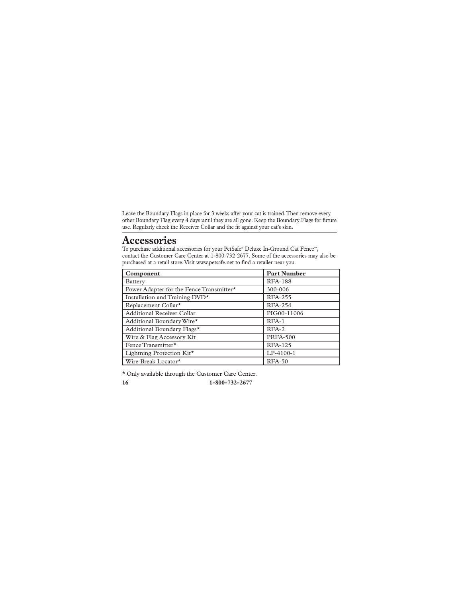Leave the Boundary Flags in place for 3 weeks after your cat is trained. Then remove every other Boundary Flag every 4 days until they are all gone. Keep the Boundary Flags for future use. Regularly check the Receiver Collar and the fit against your cat's skin.

### **Accessories**

To purchase additional accessories for your PetSafe® Deluxe In-Ground Cat Fence™, contact the Customer Care Center at 1-800-732-2677. Some of the accessories may also be purchased at a retail store. Visit www.petsafe.net to find a retailer near you.

| <b>Component</b>                         | <b>Part Number</b> |
|------------------------------------------|--------------------|
| Battery                                  | <b>RFA-188</b>     |
| Power Adapter for the Fence Transmitter* | 300-006            |
| Installation and Training DVD*           | <b>RFA-255</b>     |
| Replacement Collar <sup>*</sup>          | <b>RFA-254</b>     |
| Additional Receiver Collar               | PIG00-11006        |
| Additional Boundary Wire*                | RFA-1              |
| Additional Boundary Flags*               | $RFA-2$            |
| Wire & Flag Accessory Kit                | <b>PRFA-500</b>    |
| Fence Transmitter*                       | <b>RFA-125</b>     |
| Lightning Protection Kit*                | LP-4100-1          |
| Wire Break Locator*                      | $RFA-50$           |

\* Only available through the Customer Care Center.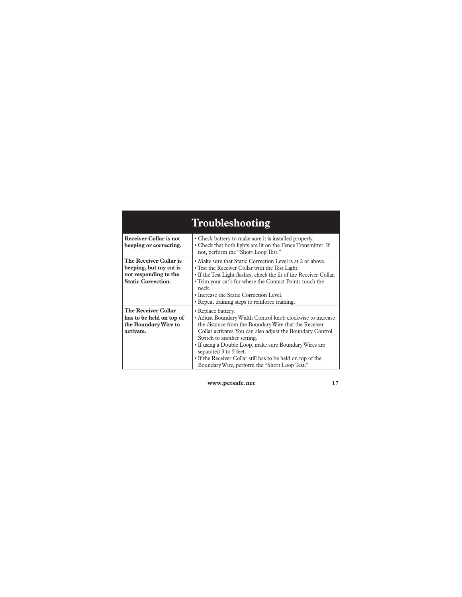| Troubleshooting                                                                                        |                                                                                                                                                                                                                                                                                                                                                                                                                                           |  |
|--------------------------------------------------------------------------------------------------------|-------------------------------------------------------------------------------------------------------------------------------------------------------------------------------------------------------------------------------------------------------------------------------------------------------------------------------------------------------------------------------------------------------------------------------------------|--|
| Receiver Collar is not<br>beeping or correcting.                                                       | • Check battery to make sure it is installed properly.<br>• Check that both lights are lit on the Fence Transmitter. If<br>not, perform the "Short Loop Test."                                                                                                                                                                                                                                                                            |  |
| The Receiver Collar is<br>beeping, but my cat is<br>not responding to the<br><b>Static Correction.</b> | • Make sure that Static Correction Level is at 2 or above.<br>• Test the Receiver Collar with the Test Light.<br>• If the Test Light flashes, check the fit of the Receiver Collar.<br>• Trim your cat's fur where the Contact Points touch the<br>neck.<br>• Increase the Static Correction Level.<br>• Repeat training steps to reinforce training.                                                                                     |  |
| <b>The Receiver Collar</b><br>has to be held on top of<br>the Boundary Wire to<br>activate.            | • Replace battery.<br>• Adjust Boundary Width Control knob clockwise to increase<br>the distance from the Boundary Wire that the Receiver<br>Collar activates. You can also adjust the Boundary Control<br>Switch to another setting.<br>• If using a Double Loop, make sure Boundary Wires are<br>separated 3 to 5 feet.<br>• If the Receiver Collar still has to be held on top of the<br>Boundary Wire, perform the "Short Loop Test." |  |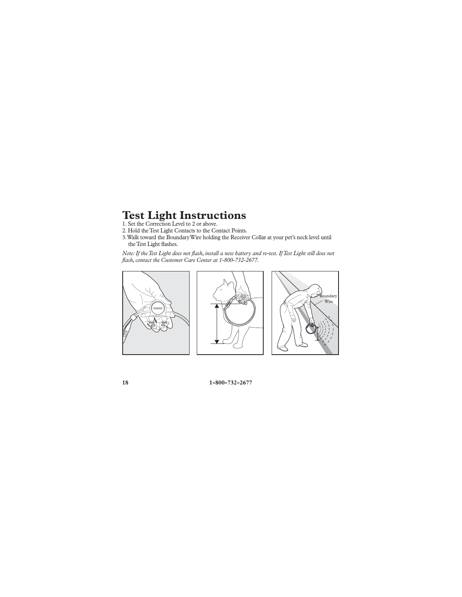# **Test Light Instructions** 1. Set the Correction Level to 2 or above.

2. Hold the Test Light Contacts to the Contact Points.

3. Walk toward the Boundary Wire holding the Receiver Collar at your pet's neck level until the Test Light flashes.

*Note: If the Test Light does not flash, install a new battery and re-test. If Test Light still does not flash, contact the Customer Care Center at 1-800-732-2677.*

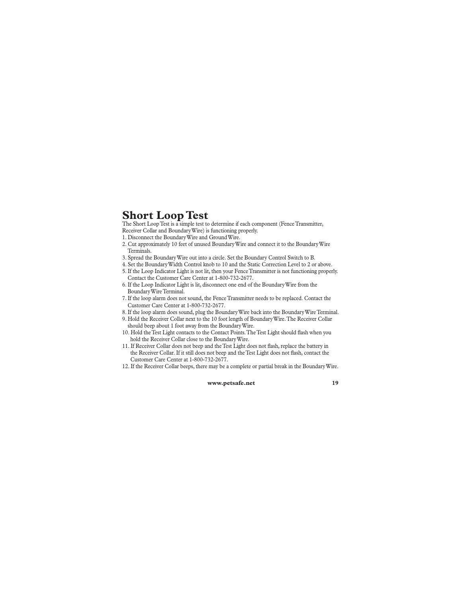### **Short Loop Test**

The Short Loop Test is a simple test to determine if each component (Fence Transmitter, Receiver Collar and Boundary Wire) is functioning properly.

- 1. Disconnect the Boundary Wire and Ground Wire.
- 2. Cut approximately 10 feet of unused Boundary Wire and connect it to the Boundary Wire Terminals.
- 3. Spread the Boundary Wire out into a circle. Set the Boundary Control Switch to B.
- 4. Set the Boundary Width Control knob to 10 and the Static Correction Level to 2 or above.
- 5. If the Loop Indicator Light is not lit, then your Fence Transmitter is not functioning properly. Contact the Customer Care Center at 1-800-732-2677.
- 6. If the Loop Indicator Light is lit, disconnect one end of the Boundary Wire from the Boundary Wire Terminal.
- 7. If the loop alarm does not sound, the Fence Transmitter needs to be replaced. Contact the Customer Care Center at 1-800-732-2677.
- 8. If the loop alarm does sound, plug the Boundary Wire back into the Boundary Wire Terminal.
- 9. Hold the Receiver Collar next to the 10 foot length of Boundary Wire. The Receiver Collar should beep about 1 foot away from the Boundary Wire.
- 10. Hold the Test Light contacts to the Contact Points. The Test Light should flash when you hold the Receiver Collar close to the Boundary Wire.
- 11. If Receiver Collar does not beep and the Test Light does not flash, replace the battery in the Receiver Collar. If it still does not beep and the Test Light does not flash, contact the Customer Care Center at 1-800-732-2677.
- 12. If the Receiver Collar beeps, there may be a complete or partial break in the Boundary Wire.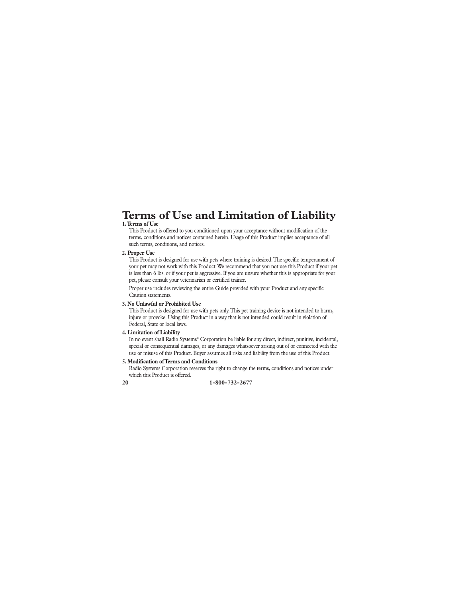## **Terms of Use and Limitation of Liability**

#### **1. Terms of Use**

This Product is offered to you conditioned upon your acceptance without modification of the terms, conditions and notices contained herein. Usage of this Product implies acceptance of all such terms, conditions, and notices.

#### **2. Proper Use**

This Product is designed for use with pets where training is desired. The specific temperament of your pet may not work with this Product. We recommend that you not use this Product if your pet is less than 6 lbs. or if your pet is aggressive. If you are unsure whether this is appropriate for your pet, please consult your veterinarian or certified trainer.

 Proper use includes reviewing the entire Guide provided with your Product and any specific Caution statements.

#### **3. No Unlawful or Prohibited Use**

This Product is designed for use with pets only. This pet training device is not intended to harm, injure or provoke. Using this Product in a way that is not intended could result in violation of Federal, State or local laws.

#### **4. Limitation of Liability**

In no event shall Radio Systems® Corporation be liable for any direct, indirect, punitive, incidental, special or consequential damages, or any damages whatsoever arising out of or connected with the use or misuse of this Product. Buyer assumes all risks and liability from the use of this Product.

#### **5. Modification of Terms and Conditions**

Radio Systems Corporation reserves the right to change the terms, conditions and notices under which this Product is offered.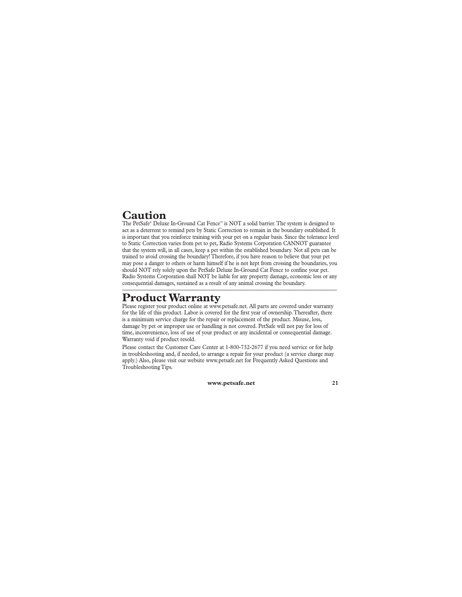### **Caution**

The PetSafe® Deluxe In-Ground Cat Fence™ is NOT a solid barrier. The system is designed to act as a deterrent to remind pets by Static Correction to remain in the boundary established. It is important that you reinforce training with your pet on a regular basis. Since the tolerance level to Static Correction varies from pet to pet, Radio Systems Corporation CANNOT guarantee that the system will, in all cases, keep a pet within the established boundary. Not all pets can be trained to avoid crossing the boundary! Therefore, if you have reason to believe that your pet may pose a danger to others or harm himself if he is not kept from crossing the boundaries, you should NOT rely solely upon the PetSafe Deluxe In-Ground Cat Fence to confine your pet. Radio Systems Corporation shall NOT be liable for any property damage, economic loss or any consequential damages, sustained as a result of any animal crossing the boundary.

### **Product Warranty**

Please register your product online at www.petsafe.net. All parts are covered under warranty for the life of this product. Labor is covered for the first year of ownership. Thereafter, there is a minimum service charge for the repair or replacement of the product. Misuse, loss, damage by pet or improper use or handling is not covered. PetSafe will not pay for loss of time, inconvenience, loss of use of your product or any incidental or consequential damage. Warranty void if product resold.

Please contact the Customer Care Center at 1-800-732-2677 if you need service or for help in troubleshooting and, if needed, to arrange a repair for your product (a service charge may apply.) Also, please visit our website www.petsafe.net for Frequently Asked Questions and Troubleshooting Tips.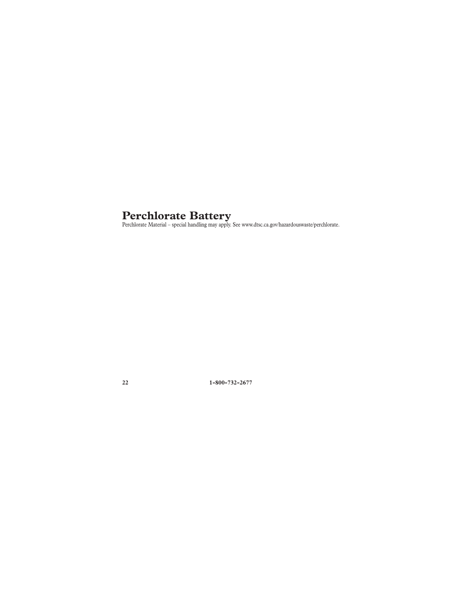**Perchlorate Battery**<br>Perchlorate Material – special handling may apply. See www.dtsc.ca.gov/hazardouswaste/perchlorate.